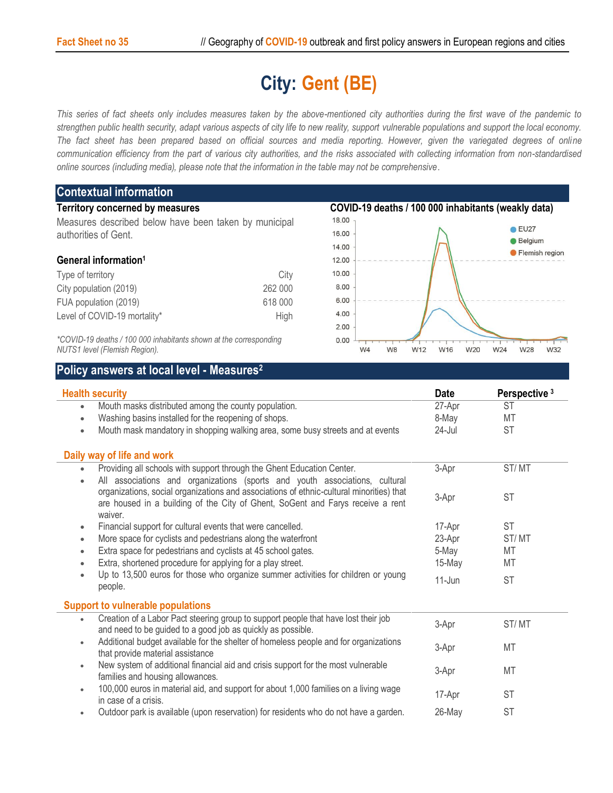## **City: Gent (BE)**

*This series of fact sheets only includes measures taken by the above-mentioned city authorities during the first wave of the pandemic to strengthen public health security, adapt various aspects of city life to new reality, support vulnerable populations and support the local economy. The fact sheet has been prepared based on official sources and media reporting. However, given the variegated degrees of online communication efficiency from the part of various city authorities, and the risks associated with collecting information from non-standardised online sources (including media), please note that the information in the table may not be comprehensive*.

| <b>Contextual information</b>                                                                      |         |                                                     |                              |                                  |  |
|----------------------------------------------------------------------------------------------------|---------|-----------------------------------------------------|------------------------------|----------------------------------|--|
| <b>Territory concerned by measures</b>                                                             |         | COVID-19 deaths / 100 000 inhabitants (weakly data) |                              |                                  |  |
| Measures described below have been taken by municipal                                              |         | 18.00                                               |                              |                                  |  |
| authorities of Gent.                                                                               |         | 16.00                                               |                              | $\bullet$ EU27<br><b>Belgium</b> |  |
|                                                                                                    |         | 14.00                                               |                              | Flemish region                   |  |
| General information <sup>1</sup>                                                                   |         | 12.00                                               |                              |                                  |  |
| Type of territory                                                                                  | City    | 10.00                                               |                              |                                  |  |
| City population (2019)                                                                             | 262 000 | 8.00                                                |                              |                                  |  |
| FUA population (2019)                                                                              | 618 000 | 6.00                                                |                              |                                  |  |
| Level of COVID-19 mortality*                                                                       | High    | 4.00                                                |                              |                                  |  |
|                                                                                                    |         | 2.00                                                |                              |                                  |  |
| *COVID-19 deaths / 100 000 inhabitants shown at the corresponding<br>NUTS1 level (Flemish Region). |         | 0.00<br>W <sub>4</sub>                              | W <sub>8</sub><br>W12<br>W16 | W28<br>W32<br>W20<br>W24         |  |

## **Policy answers at local level - Measures<sup>2</sup>**

| <b>Health security</b>                                                                                    |           | Perspective <sup>3</sup> |  |
|-----------------------------------------------------------------------------------------------------------|-----------|--------------------------|--|
| Mouth masks distributed among the county population.<br>$\bullet$                                         | 27-Apr    | <b>ST</b>                |  |
| Washing basins installed for the reopening of shops.<br>$\bullet$                                         | 8-May     | <b>MT</b>                |  |
| Mouth mask mandatory in shopping walking area, some busy streets and at events<br>$\bullet$               | $24$ -Jul | <b>ST</b>                |  |
| Daily way of life and work                                                                                |           |                          |  |
| Providing all schools with support through the Ghent Education Center.<br>$\bullet$                       | 3-Apr     | ST/MT                    |  |
| All associations and organizations (sports and youth associations, cultural<br>$\bullet$                  |           |                          |  |
| organizations, social organizations and associations of ethnic-cultural minorities) that                  | 3-Apr     | ST                       |  |
| are housed in a building of the City of Ghent, SoGent and Farys receive a rent                            |           |                          |  |
| waiver.                                                                                                   |           |                          |  |
| Financial support for cultural events that were cancelled.<br>$\bullet$                                   | 17-Apr    | ST                       |  |
| More space for cyclists and pedestrians along the waterfront<br>$\bullet$                                 | 23-Apr    | ST/MT                    |  |
| Extra space for pedestrians and cyclists at 45 school gates.<br>$\bullet$                                 | 5-May     | MT                       |  |
| Extra, shortened procedure for applying for a play street.<br>$\bullet$                                   | 15-May    | MT                       |  |
| Up to 13,500 euros for those who organize summer activities for children or young<br>$\bullet$<br>people. | $11$ -Jun | <b>ST</b>                |  |
| <b>Support to vulnerable populations</b>                                                                  |           |                          |  |
| Creation of a Labor Pact steering group to support people that have lost their job<br>$\bullet$           | 3-Apr     | ST/MT                    |  |
| and need to be guided to a good job as quickly as possible.                                               |           |                          |  |
| Additional budget available for the shelter of homeless people and for organizations<br>$\bullet$         | 3-Apr     | <b>MT</b>                |  |
| that provide material assistance                                                                          |           |                          |  |
| New system of additional financial aid and crisis support for the most vulnerable<br>$\bullet$            | 3-Apr     | <b>MT</b>                |  |
| families and housing allowances.                                                                          |           |                          |  |
| 100,000 euros in material aid, and support for about 1,000 families on a living wage<br>$\bullet$         | 17-Apr    | <b>ST</b>                |  |
| in case of a crisis.                                                                                      |           |                          |  |
| Outdoor park is available (upon reservation) for residents who do not have a garden.<br>$\bullet$         | 26-May    | <b>ST</b>                |  |